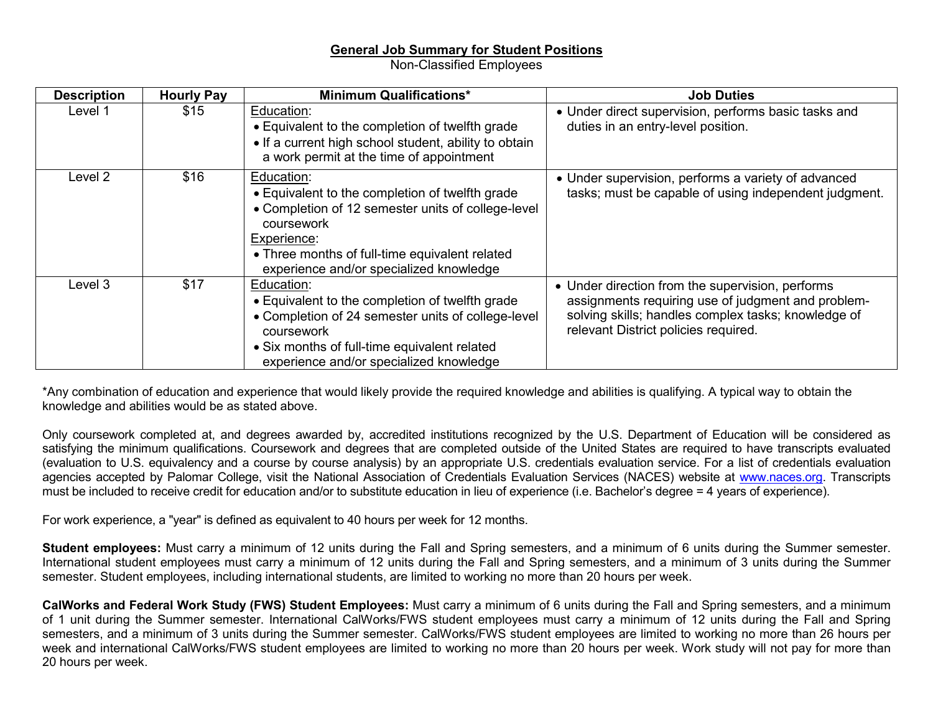## **General Job Summary for Student Positions**

Non-Classified Employees

| <b>Description</b> | <b>Hourly Pay</b> | <b>Minimum Qualifications*</b>                                                                                                                                                                                                                | <b>Job Duties</b>                                                                                                                                                                                     |
|--------------------|-------------------|-----------------------------------------------------------------------------------------------------------------------------------------------------------------------------------------------------------------------------------------------|-------------------------------------------------------------------------------------------------------------------------------------------------------------------------------------------------------|
| Level 1            | \$15              | Education:<br>• Equivalent to the completion of twelfth grade<br>• If a current high school student, ability to obtain<br>a work permit at the time of appointment                                                                            | • Under direct supervision, performs basic tasks and<br>duties in an entry-level position.                                                                                                            |
| Level 2            | \$16              | Education:<br>• Equivalent to the completion of twelfth grade<br>• Completion of 12 semester units of college-level<br>coursework<br>Experience:<br>• Three months of full-time equivalent related<br>experience and/or specialized knowledge | • Under supervision, performs a variety of advanced<br>tasks; must be capable of using independent judgment.                                                                                          |
| Level 3            | \$17              | Education:<br>• Equivalent to the completion of twelfth grade<br>• Completion of 24 semester units of college-level<br>coursework<br>• Six months of full-time equivalent related<br>experience and/or specialized knowledge                  | • Under direction from the supervision, performs<br>assignments requiring use of judgment and problem-<br>solving skills; handles complex tasks; knowledge of<br>relevant District policies required. |

\*Any combination of education and experience that would likely provide the required knowledge and abilities is qualifying. A typical way to obtain the knowledge and abilities would be as stated above.

Only coursework completed at, and degrees awarded by, accredited institutions recognized by the U.S. Department of Education will be considered as satisfying the minimum qualifications. Coursework and degrees that are completed outside of the United States are required to have transcripts evaluated (evaluation to U.S. equivalency and a course by course analysis) by an appropriate U.S. credentials evaluation service. For a list of credentials evaluation agencies accepted by Palomar College, visit the National Association of Credentials Evaluation Services (NACES) website at [www.naces.org.](http://www.naces.org/) Transcripts must be included to receive credit for education and/or to substitute education in lieu of experience (i.e. Bachelor's degree = 4 years of experience).

For work experience, a "year" is defined as equivalent to 40 hours per week for 12 months.

**Student employees:** Must carry a minimum of 12 units during the Fall and Spring semesters, and a minimum of 6 units during the Summer semester. International student employees must carry a minimum of 12 units during the Fall and Spring semesters, and a minimum of 3 units during the Summer semester. Student employees, including international students, are limited to working no more than 20 hours per week.

**CalWorks and Federal Work Study (FWS) Student Employees:** Must carry a minimum of 6 units during the Fall and Spring semesters, and a minimum of 1 unit during the Summer semester. International CalWorks/FWS student employees must carry a minimum of 12 units during the Fall and Spring semesters, and a minimum of 3 units during the Summer semester. CalWorks/FWS student employees are limited to working no more than 26 hours per week and international CalWorks/FWS student employees are limited to working no more than 20 hours per week. Work study will not pay for more than 20 hours per week.